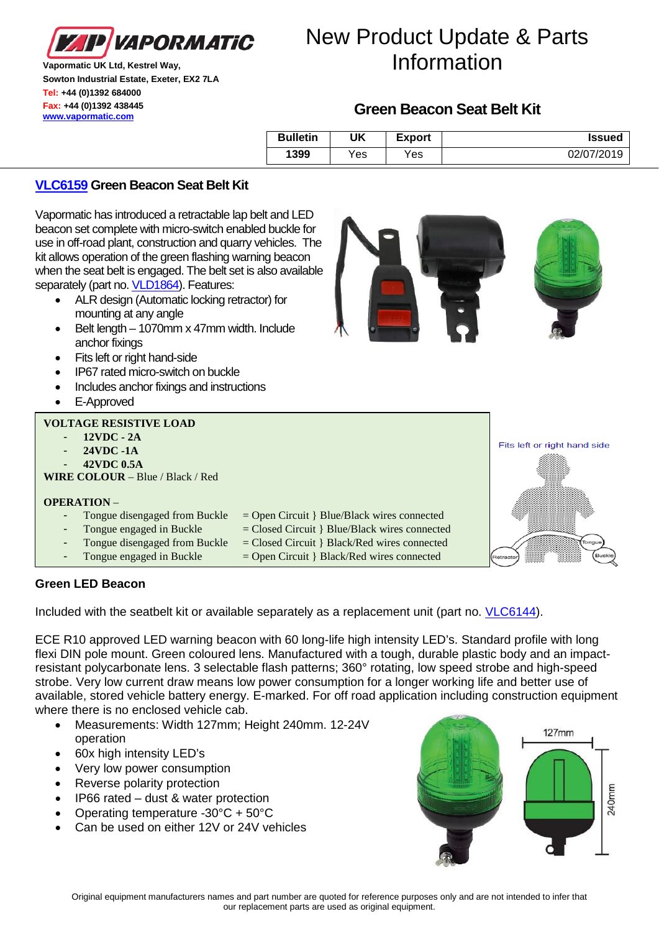

**Vapormatic UK Ltd, Kestrel Way, Sowton Industrial Estate, Exeter, EX2 7LA Tel: +44 (0)1392 684000 Fax: +44 (0)1392 438445 [www.vapormatic.com](http://www.vapormatic.com/)**

# **Green Beacon Seat Belt Kit**

| <b>Bulletin</b> | UK   | <b>Export</b> | <b>Issued</b> |
|-----------------|------|---------------|---------------|
| 1399            | Yes. | Yes           | 02/07/2019    |

## **[VLC6159](https://www.vapormatic.co.uk/search/vlc6159/t7d5tjk4ta) Green Beacon Seat Belt Kit**

Vapormatic has introduced a retractable lap belt and LED beacon set complete with micro-switch enabled buckle for use in off-road plant, construction and quarry vehicles. The kit allows operation of the green flashing warning beacon when the seat belt is engaged. The belt set is also available separately (part no[. VLD1864\)](https://www.vapormatic.co.uk/search/vld1864/t7h56nbqp78). Features:

- ALR design (Automatic locking retractor) for mounting at any angle
- Belt length 1070mm x 47mm width. Include anchor fixings
- Fits left or right hand-side
- IP67 rated micro-switch on buckle
- Includes anchor fixings and instructions
- E-Approved

### **VOLTAGE RESISTIVE LOAD**

- **12VDC - 2A**
- **24VDC -1A**
- **42VDC 0.5A**

**WIRE COLOUR** – Blue / Black / Red

#### **OPERATION** –

- Tongue disengaged from Buckle  $=$  Open Circuit  $\}$  Blue/Black wires connected
	- Tongue engaged in Buckle  $=$  Closed Circuit } Blue/Black wires connected
	- Tongue disengaged from Buckle  $=$  Closed Circuit  $\}$  Black/Red wires connected
- $Tongue engaged in Buckle = Open Circuit } Black/Red wires connected$
- -

### **Green LED Beacon**

Included with the seatbelt kit or available separately as a replacement unit (part no. [VLC6144\)](https://www.vapormatic.com/tractor-parts.ashx?descsearch=vld1864#part_list/VLC6144).

ECE R10 approved LED warning beacon with 60 long-life high intensity LED's. Standard profile with long flexi DIN pole mount. Green coloured lens. Manufactured with a tough, durable plastic body and an impactresistant polycarbonate lens. 3 selectable flash patterns; 360° rotating, low speed strobe and high-speed strobe. Very low current draw means low power consumption for a longer working life and better use of available, stored vehicle battery energy. E-marked. For off road application including construction equipment where there is no enclosed vehicle cab.

- Measurements: Width 127mm; Height 240mm. 12-24V operation
- 60x high intensity LED's
- Very low power consumption
- Reverse polarity protection
- IP66 rated dust & water protection
- Operating temperature -30°C + 50°C
- Can be used on either 12V or 24V vehicles





Fits left or right hand side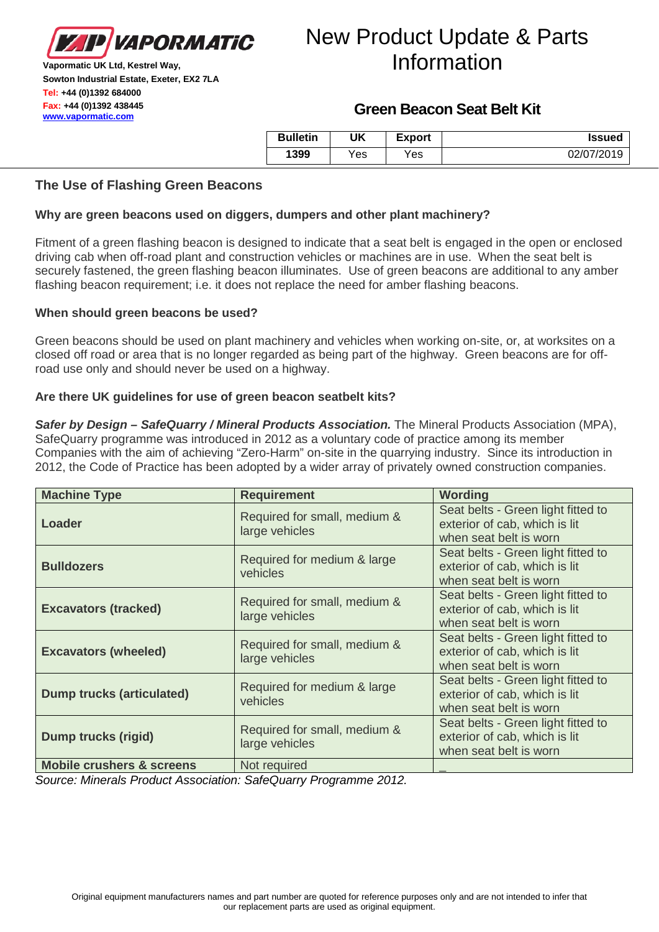

**Vapormatic UK Ltd, Kestrel Way, Sowton Industrial Estate, Exeter, EX2 7LA Tel: +44 (0)1392 684000 Fax: +44 (0)1392 438445 [www.vapormatic.com](http://www.vapormatic.com/)**

## **Green Beacon Seat Belt Kit**

| <b>Bulletin</b> | UK  | <b>Export</b> | <b>Issued</b> |
|-----------------|-----|---------------|---------------|
| 1399            | Yes | Yes           | 02/07/2019    |

### **The Use of Flashing Green Beacons**

### **Why are green beacons used on diggers, dumpers and other plant machinery?**

Fitment of a green flashing beacon is designed to indicate that a seat belt is engaged in the open or enclosed driving cab when off-road plant and construction vehicles or machines are in use. When the seat belt is securely fastened, the green flashing beacon illuminates. Use of green beacons are additional to any amber flashing beacon requirement; i.e. it does not replace the need for amber flashing beacons.

#### **When should green beacons be used?**

Green beacons should be used on plant machinery and vehicles when working on-site, or, at worksites on a closed off road or area that is no longer regarded as being part of the highway. Green beacons are for offroad use only and should never be used on a highway.

### **Are there UK guidelines for use of green beacon seatbelt kits?**

*Safer by Design – SafeQuarry / Mineral Products Association.* The Mineral Products Association (MPA), SafeQuarry programme was introduced in 2012 as a voluntary code of practice among its member Companies with the aim of achieving "Zero-Harm" on-site in the quarrying industry. Since its introduction in 2012, the Code of Practice has been adopted by a wider array of privately owned construction companies.

| <b>Machine Type</b>                  | <b>Requirement</b>                             | <b>Wording</b>                                                                                |
|--------------------------------------|------------------------------------------------|-----------------------------------------------------------------------------------------------|
| Loader                               | Required for small, medium &<br>large vehicles | Seat belts - Green light fitted to<br>exterior of cab, which is lit<br>when seat belt is worn |
| <b>Bulldozers</b>                    | Required for medium & large<br>vehicles        | Seat belts - Green light fitted to<br>exterior of cab, which is lit<br>when seat belt is worn |
| <b>Excavators (tracked)</b>          | Required for small, medium &<br>large vehicles | Seat belts - Green light fitted to<br>exterior of cab, which is lit<br>when seat belt is worn |
| <b>Excavators (wheeled)</b>          | Required for small, medium &<br>large vehicles | Seat belts - Green light fitted to<br>exterior of cab, which is lit<br>when seat belt is worn |
| <b>Dump trucks (articulated)</b>     | Required for medium & large<br>vehicles        | Seat belts - Green light fitted to<br>exterior of cab, which is lit<br>when seat belt is worn |
| <b>Dump trucks (rigid)</b>           | Required for small, medium &<br>large vehicles | Seat belts - Green light fitted to<br>exterior of cab, which is lit<br>when seat belt is worn |
| <b>Mobile crushers &amp; screens</b> | Not required                                   |                                                                                               |

*Source: Minerals Product Association: SafeQuarry Programme 2012.*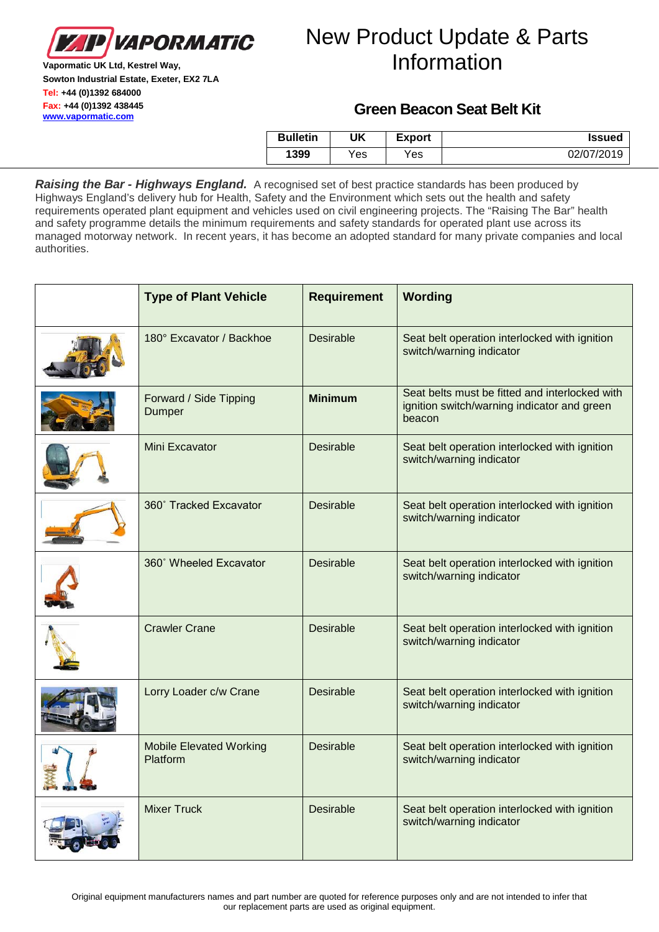

**Vapormatic UK Ltd, Kestrel Way, Sowton Industrial Estate, Exeter, EX2 7LA Tel: +44 (0)1392 684000 Fax: +44 (0)1392 438445 [www.vapormatic.com](http://www.vapormatic.com/)**

## **Green Beacon Seat Belt Kit**

| <b>Bulletin</b> | UK  | Export | <b>Issued</b> |
|-----------------|-----|--------|---------------|
| 1399            | Yes | Yes.   | 02/07/2019    |

*Raising the Bar - Highways England.* A recognised set of best practice standards has been produced by Highways England's delivery hub for Health, Safety and the Environment which sets out the health and safety requirements operated plant equipment and vehicles used on civil engineering projects. The "Raising The Bar" health and safety programme details the minimum requirements and safety standards for operated plant use across its managed motorway network. In recent years, it has become an adopted standard for many private companies and local authorities.

| <b>Type of Plant Vehicle</b>               | <b>Requirement</b> | Wording                                                                                                 |
|--------------------------------------------|--------------------|---------------------------------------------------------------------------------------------------------|
| 180° Excavator / Backhoe                   | <b>Desirable</b>   | Seat belt operation interlocked with ignition<br>switch/warning indicator                               |
| Forward / Side Tipping<br>Dumper           | <b>Minimum</b>     | Seat belts must be fitted and interlocked with<br>ignition switch/warning indicator and green<br>beacon |
| Mini Excavator                             | <b>Desirable</b>   | Seat belt operation interlocked with ignition<br>switch/warning indicator                               |
| 360° Tracked Excavator                     | <b>Desirable</b>   | Seat belt operation interlocked with ignition<br>switch/warning indicator                               |
| 360° Wheeled Excavator                     | <b>Desirable</b>   | Seat belt operation interlocked with ignition<br>switch/warning indicator                               |
| <b>Crawler Crane</b>                       | <b>Desirable</b>   | Seat belt operation interlocked with ignition<br>switch/warning indicator                               |
| Lorry Loader c/w Crane                     | <b>Desirable</b>   | Seat belt operation interlocked with ignition<br>switch/warning indicator                               |
| <b>Mobile Elevated Working</b><br>Platform | <b>Desirable</b>   | Seat belt operation interlocked with ignition<br>switch/warning indicator                               |
| <b>Mixer Truck</b>                         | <b>Desirable</b>   | Seat belt operation interlocked with ignition<br>switch/warning indicator                               |